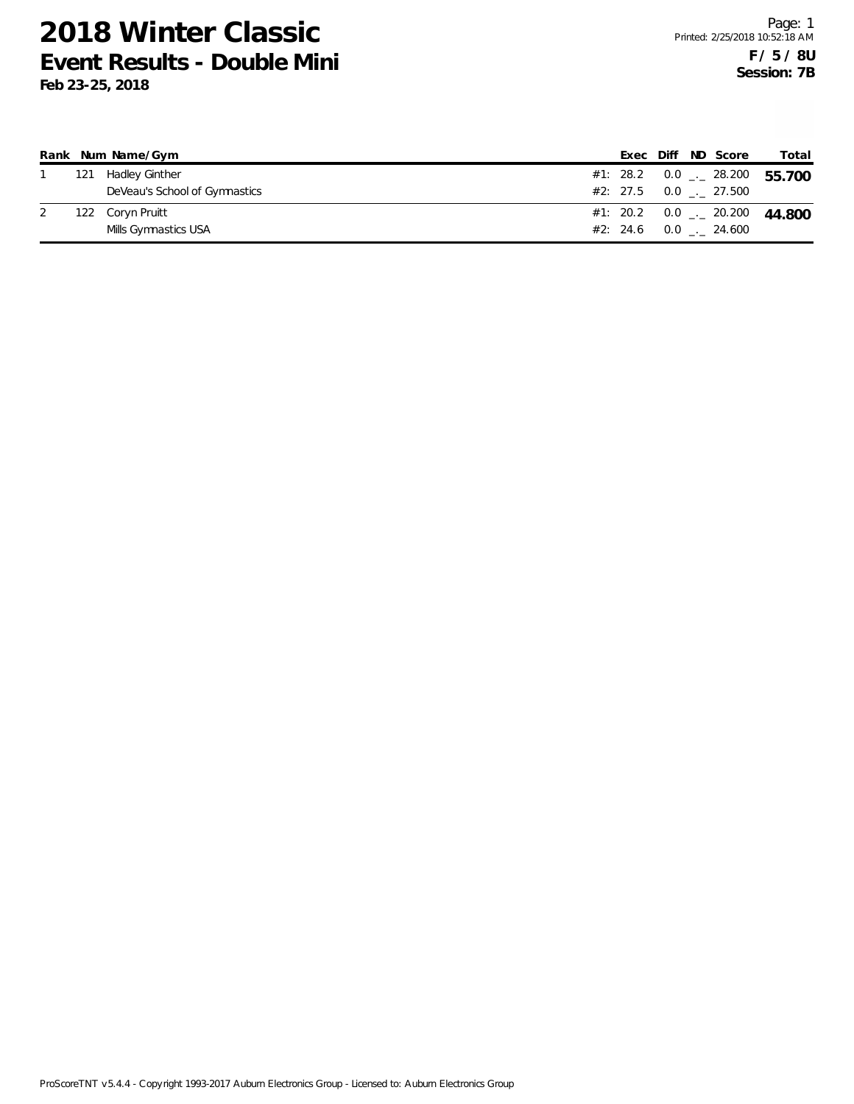|     | Rank Num Name/Gym             |  |  | Exec Diff ND Score                   | Total                               |
|-----|-------------------------------|--|--|--------------------------------------|-------------------------------------|
| 121 | Hadley Ginther                |  |  |                                      | #1: 28.2 0.0 $-$ 28.200 55.700      |
|     | DeVeau's School of Gymnastics |  |  | $\#2: 27.5 \qquad 0.0 \qquad 27.500$ |                                     |
|     | 122 Coryn Pruitt              |  |  |                                      | #1: 20.2 0.0 $\ldots$ 20.200 44,800 |
|     | Mills Gymnastics USA          |  |  | #2: 24.6 0.0 . 24.600                |                                     |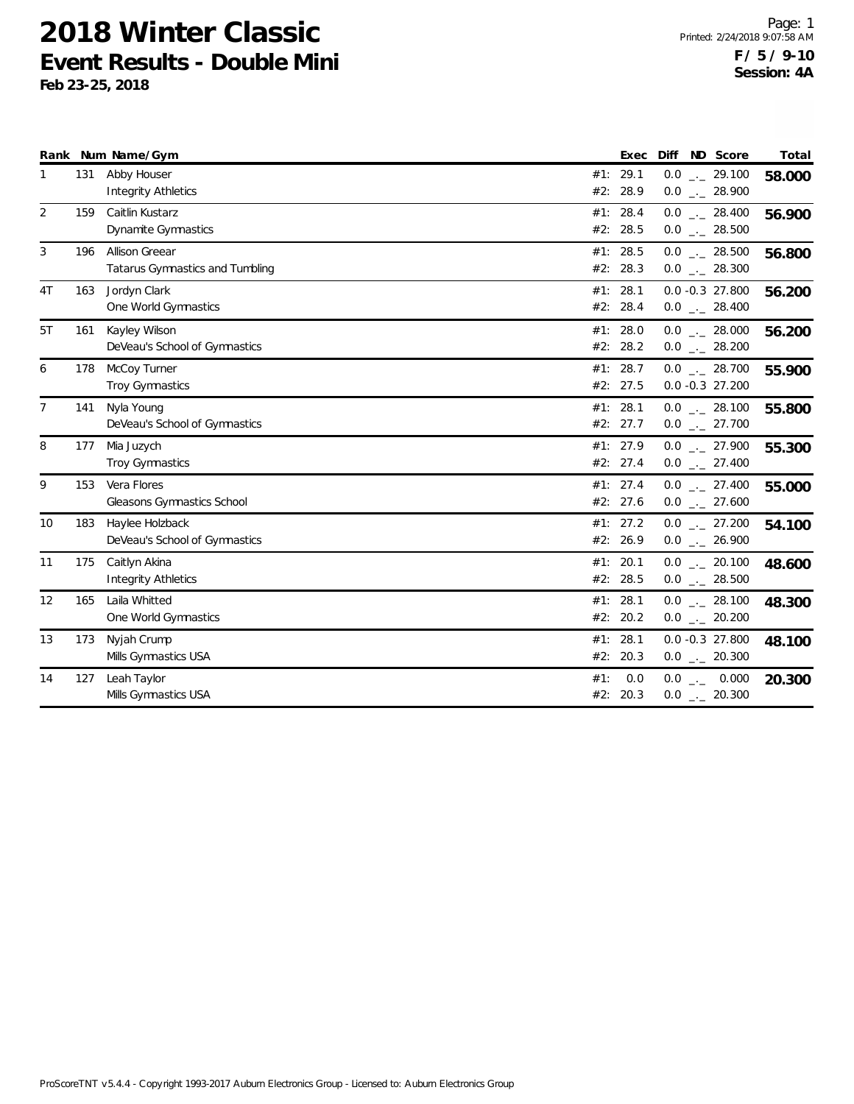|                |     | Rank Num Name/Gym                                 |                      | Exec         | ND Score<br>Diff                      | Total  |
|----------------|-----|---------------------------------------------------|----------------------|--------------|---------------------------------------|--------|
| 1              | 131 | Abby Houser<br><b>Integrity Athletics</b>         | #1: 29.1<br>#2:      | 28.9         | $0.0$ _ 29.100<br>$0.0$ _ 28.900      | 58.000 |
| $\overline{2}$ | 159 | Caitlin Kustarz<br><b>Dynamite Gymnastics</b>     | #1: 28.4<br>#2: 28.5 |              | $0.0$ _ 28.400<br>$0.0$ _ 28.500      | 56.900 |
| 3              | 196 | Allison Greear<br>Tatarus Gymnastics and Tumbling | #1: 28.5<br>#2: 28.3 |              | $0.0$ _ 28.500<br>$0.0$ _ 28.300      | 56.800 |
| 4T             | 163 | Jordyn Clark<br>One World Gymnastics              | #1:<br>#2: 28.4      | 28.1         | $0.0 - 0.3$ 27.800<br>$0.0$ _ 28.400  | 56.200 |
| 5T             | 161 | Kayley Wilson<br>DeVeau's School of Gymnastics    | #1: 28.0<br>#2: 28.2 |              | $0.0$ _._ 28.000<br>$0.0$ _ 28.200    | 56.200 |
| 6              | 178 | McCoy Turner<br>Troy Gymnastics                   | #1: 28.7<br>#2: 27.5 |              | $0.0$ _ 28.700<br>$0.0 - 0.3$ 27.200  | 55.900 |
| $\overline{7}$ | 141 | Nyla Young<br>DeVeau's School of Gymnastics       | #1: 28.1<br>#2: 27.7 |              | $0.0$ _._ 28.100<br>$0.0$ _ 27.700    | 55.800 |
| 8              | 177 | Mia Juzych<br><b>Troy Gymnastics</b>              | #1: 27.9<br>#2: 27.4 |              | $0.0$ $_{-}$ 27.900<br>$0.0$ _ 27.400 | 55.300 |
| 9              | 153 | Vera Flores<br>Gleasons Gymnastics School         | #1: 27.4<br>#2: 27.6 |              | $0.0$ _ 27.400<br>$0.0$ _ 27.600      | 55.000 |
| 10             | 183 | Haylee Holzback<br>DeVeau's School of Gymnastics  | #1: 27.2<br>#2: 26.9 |              | $0.0$ _._ 27.200<br>$0.0$ _ 26.900    | 54.100 |
| 11             | 175 | Caitlyn Akina<br>Integrity Athletics              | #1:<br>#2: 28.5      | 20.1         | $0.0$ _._ 20.100<br>$0.0$ _ 28.500    | 48.600 |
| 12             | 165 | Laila Whitted<br>One World Gymnastics             | #1:<br>#2:           | 28.1<br>20.2 | $0.0$ _ 28.100<br>$0.0$ _ 20.200      | 48.300 |
| 13             | 173 | Nyjah Crump<br>Mills Gymnastics USA               | #1:<br>#2: 20.3      | 28.1         | $0.0 - 0.3$ 27.800<br>$0.0$ _ 20.300  | 48.100 |
| 14             | 127 | Leah Taylor<br>Mills Gymnastics USA               | #1:<br>#2: 20.3      | 0.0          | $0.0$ _ 0.000<br>$0.0$ _ 20.300       | 20.300 |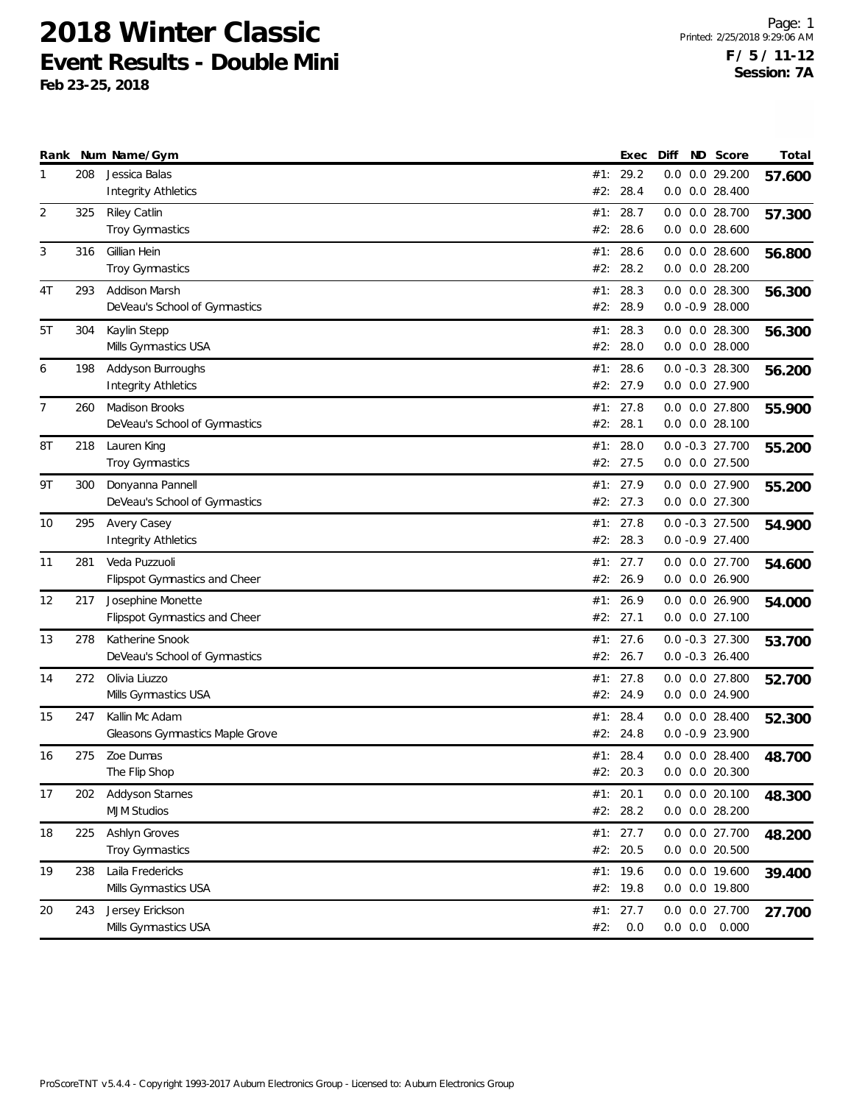|                |     | Rank Num Name/Gym               |     | Exec             | Diff | ND Score                                 | Total  |
|----------------|-----|---------------------------------|-----|------------------|------|------------------------------------------|--------|
| 1              | 208 | Jessica Balas                   |     | #1: 29.2         |      | 0.0 0.0 29.200                           | 57.600 |
|                |     | <b>Integrity Athletics</b>      | #2: | 28.4             |      | $0.0$ $0.0$ 28.400                       |        |
| $\overline{2}$ | 325 | Riley Catlin                    | #1: | 28.7             |      | 0.0 0.0 28.700                           | 57.300 |
|                |     | Troy Gymnastics                 | #2: | 28.6             |      | $0.0$ $0.0$ 28.600                       |        |
| 3              | 316 | Gillian Hein                    |     | #1: 28.6         |      | $0.0$ $0.0$ 28.600                       | 56.800 |
|                |     | Troy Gymnastics                 |     | #2: 28.2         |      | $0.0$ $0.0$ 28.200                       |        |
| 4T             | 293 | Addison Marsh                   | #1: | 28.3             |      | $0.0$ $0.0$ 28.300                       | 56.300 |
|                |     | DeVeau's School of Gymnastics   | #2: | 28.9             |      | $0.0 - 0.9 28.000$                       |        |
| 5T             | 304 | Kaylin Stepp                    | #1: | 28.3             |      | $0.0$ $0.0$ 28.300                       | 56.300 |
|                |     | Mills Gymnastics USA            | #2: | 28.0             |      | $0.0$ $0.0$ 28.000                       |        |
| 6              | 198 | Addyson Burroughs               |     | #1: 28.6         |      | $0.0 - 0.3 28.300$                       | 56.200 |
|                |     | <b>Integrity Athletics</b>      |     | #2: 27.9         |      | 0.0 0.0 27.900                           |        |
| $\overline{7}$ | 260 | Madison Brooks                  | #1: | 27.8             |      | $0.0$ $0.0$ 27.800                       |        |
|                |     | DeVeau's School of Gymnastics   | #2: | 28.1             |      | $0.0$ $0.0$ 28.100                       | 55.900 |
|                |     |                                 |     |                  |      |                                          |        |
| 8T             | 218 | Lauren King<br>Troy Gymnastics  | #1: | 28.0<br>#2: 27.5 |      | $0.0 - 0.3$ 27.700<br>$0.0$ $0.0$ 27.500 | 55.200 |
|                |     |                                 |     |                  |      |                                          |        |
| 9T             | 300 | Donyanna Pannell                |     | #1: 27.9         |      | 0.0 0.0 27.900                           | 55.200 |
|                |     | DeVeau's School of Gymnastics   |     | #2: 27.3         |      | 0.0 0.0 27.300                           |        |
| 10             | 295 | Avery Casey                     |     | #1: $27.8$       |      | $0.0 - 0.3$ 27.500                       | 54.900 |
|                |     | <b>Integrity Athletics</b>      |     | #2: 28.3         |      | $0.0 - 0.9 27.400$                       |        |
| 11             | 281 | Veda Puzzuoli                   | #1: | 27.7             |      | 0.0 0.0 27.700                           | 54.600 |
|                |     | Flipspot Gymnastics and Cheer   |     | #2: 26.9         |      | 0.0 0.0 26.900                           |        |
| 12             | 217 | Josephine Monette               | #1: | 26.9             |      | 0.0 0.0 26.900                           | 54.000 |
|                |     | Flipspot Gymnastics and Cheer   |     | #2: 27.1         |      | $0.0$ $0.0$ 27.100                       |        |
| 13             | 278 | Katherine Snook                 |     | #1: 27.6         |      | $0.0 - 0.3$ 27.300                       | 53.700 |
|                |     | DeVeau's School of Gymnastics   |     | #2: 26.7         |      | $0.0 - 0.3$ 26.400                       |        |
| 14             | 272 | Olivia Liuzzo                   |     | #1: $27.8$       |      | 0.0 0.0 27.800                           | 52.700 |
|                |     | Mills Gymnastics USA            |     | #2: 24.9         |      | 0.0 0.0 24.900                           |        |
| 15             | 247 | Kallin Mc Adam                  | #1: | 28.4             |      | $0.0$ $0.0$ 28.400                       |        |
|                |     | Gleasons Gymnastics Maple Grove | #2: | 24.8             |      | $0.0 - 0.9 23.900$                       | 52.300 |
| 16             | 275 | Zoe Dumas                       |     | #1: 28.4         |      | $0.0$ $0.0$ 28.400                       |        |
|                |     | The Flip Shop                   |     | #2: 20.3         |      | $0.0$ $0.0$ 20.300                       | 48.700 |
|                |     |                                 |     |                  |      |                                          |        |
| 17             | 202 | <b>Addyson Starnes</b>          |     | #1: 20.1         |      | $0.0$ $0.0$ 20.100                       | 48.300 |
|                |     | <b>MJM Studios</b>              |     | #2: 28.2         |      | $0.0$ $0.0$ 28.200                       |        |
| 18             | 225 | Ashlyn Groves                   |     | #1: 27.7         |      | 0.0 0.0 27.700                           | 48.200 |
|                |     | Troy Gymnastics                 |     | #2: 20.5         |      | $0.0$ $0.0$ 20.500                       |        |
| 19             | 238 | Laila Fredericks                |     | #1: $19.6$       |      | 0.0 0.0 19.600                           | 39.400 |
|                |     | Mills Gymnastics USA            |     | #2: 19.8         |      | 0.0 0.0 19.800                           |        |
| 20             | 243 | Jersey Erickson                 |     | #1: $27.7$       |      | 0.0 0.0 27.700                           | 27.700 |
|                |     | Mills Gymnastics USA            | #2: | 0.0              |      | $0.0$ $0.0$ $0.000$                      |        |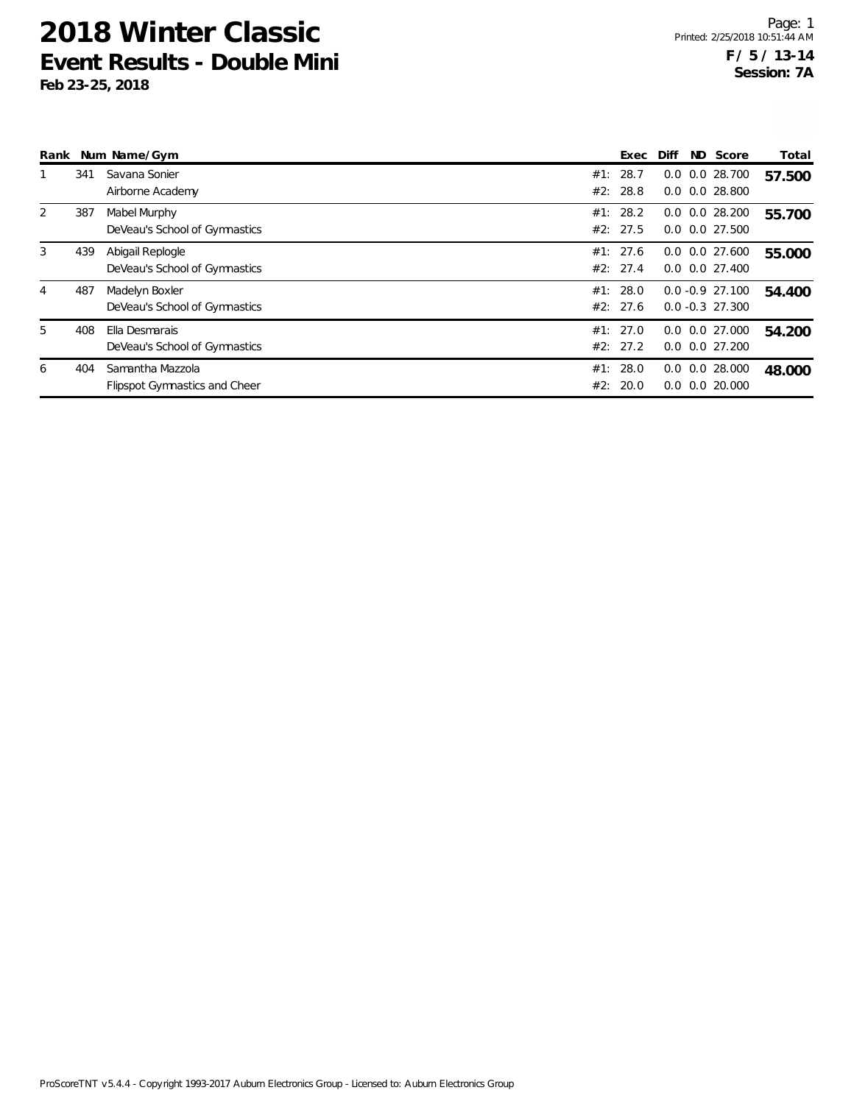|   |     | Rank Num Name/Gym                                 |     | Exec                 | Diff | ND Score                                   | Total  |
|---|-----|---------------------------------------------------|-----|----------------------|------|--------------------------------------------|--------|
|   | 341 | Savana Sonier<br>Airborne Academy                 |     | #1: 28.7<br>#2: 28.8 |      | $0.0$ $0.0$ 28.700<br>$0.0$ $0.0$ 28.800   | 57.500 |
| 2 | 387 | Mabel Murphy<br>DeVeau's School of Gymnastics     |     | #1: 28.2<br>#2: 27.5 |      | $0.0$ $0.0$ 28.200<br>$0.0$ $0.0$ 27.500   | 55.700 |
| 3 | 439 | Abigail Replogle<br>DeVeau's School of Gymnastics |     | #1: 27.6<br>#2: 27.4 |      | $0.0$ $0.0$ 27.600<br>$0.0$ $0.0$ $27.400$ | 55.000 |
| 4 | 487 | Madelyn Boxler<br>DeVeau's School of Gymnastics   |     | #1: 28.0<br>#2: 27.6 |      | $0.0 - 0.9$ 27.100<br>$0.0 - 0.3$ 27.300   | 54.400 |
| 5 | 408 | Ella Desmarais<br>DeVeau's School of Gymnastics   |     | #1: 27.0<br>#2: 27.2 | 0.0  | 0.0 27.000<br>$0.0$ $0.0$ $27.200$         | 54.200 |
| 6 | 404 | Samantha Mazzola<br>Flipspot Gymnastics and Cheer | #1: | 28.0<br>#2: 20.0     |      | $0.0$ $0.0$ 28.000<br>$0.0$ $0.0$ $20.000$ | 48.000 |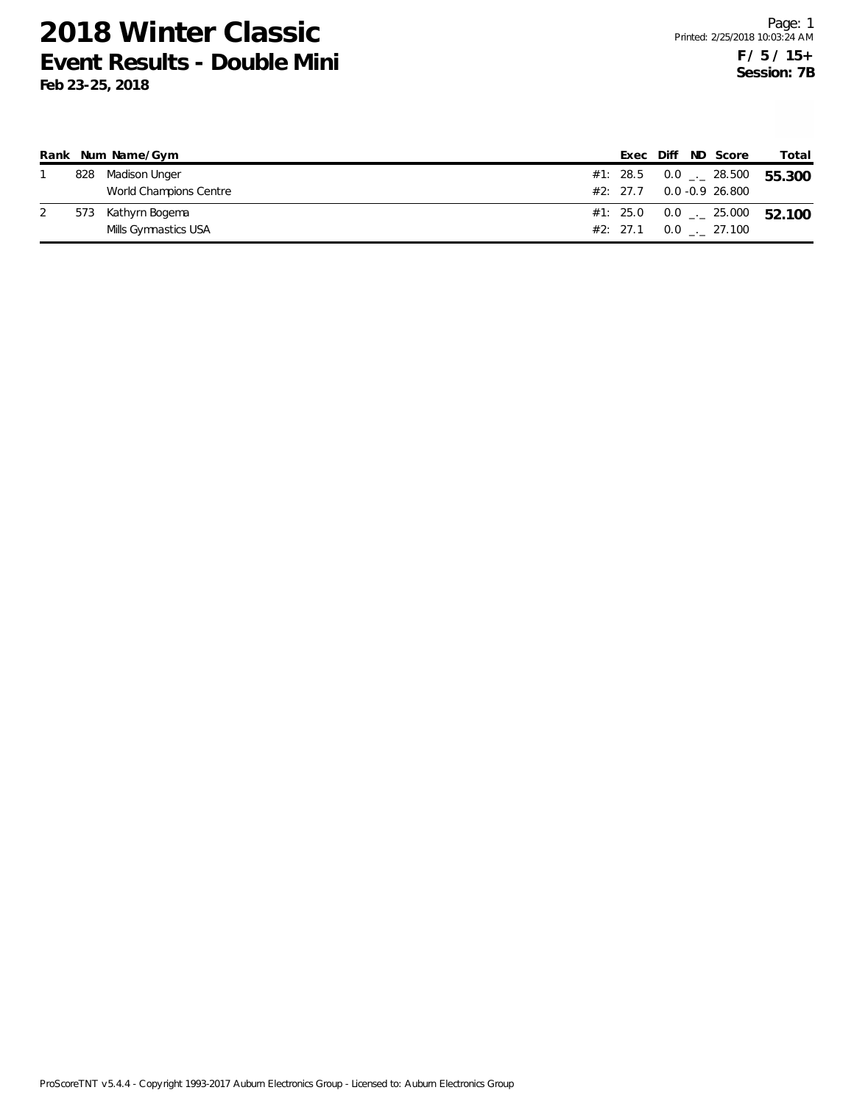|     | Rank Num Name/Gym      |  |  | Exec Diff ND Score                | Total                                      |
|-----|------------------------|--|--|-----------------------------------|--------------------------------------------|
|     | 828 Madison Unger      |  |  |                                   | #1: 28.5  0.0 $\frac{1}{2}$ 28.500  55.300 |
|     | World Champions Centre |  |  | $#2: 27.7 \qquad 0.0 -0.9 26.800$ |                                            |
| 573 | Kathyrn Bogema         |  |  |                                   | #1: 25.0  0.0 $\ldots$ 25.000  52.100      |
|     | Mills Gymnastics USA   |  |  | $#2: 27.1 \t 0.0 \t . 27.100$     |                                            |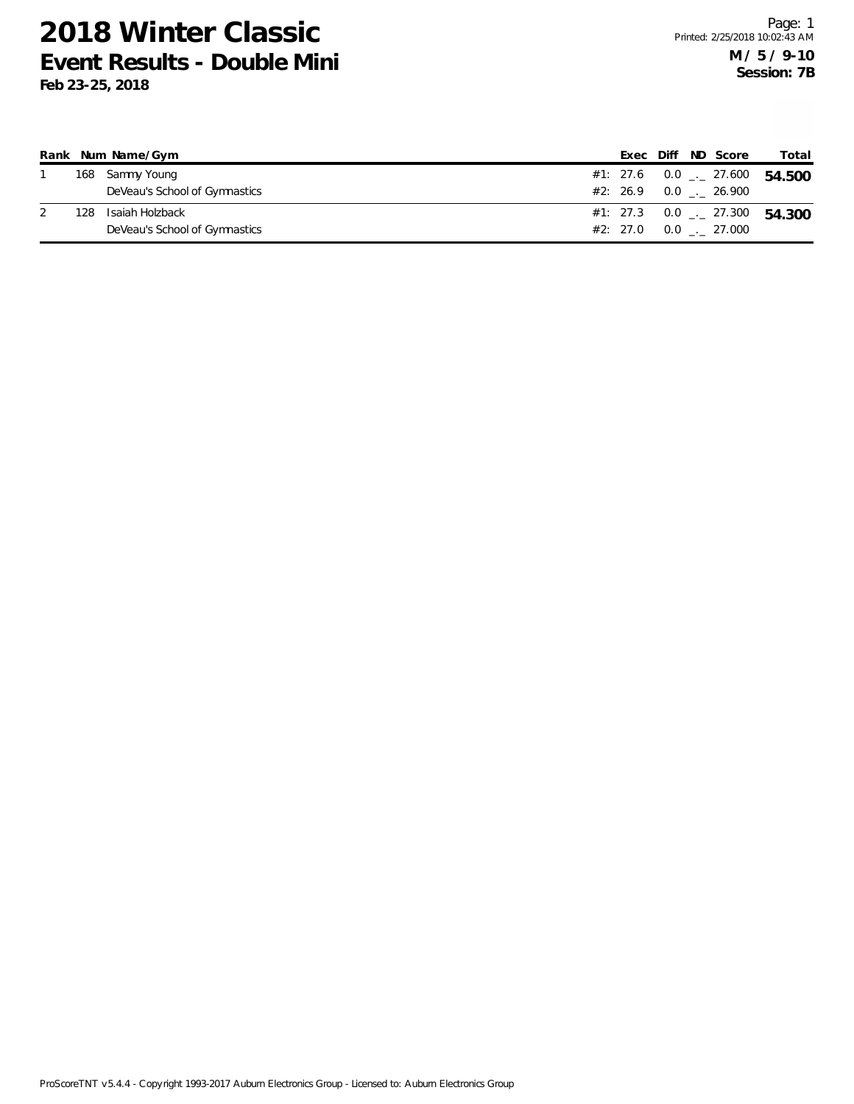|     | Rank Num Name/Gym             |  |  | Exec Diff ND Score                   | Total                                      |
|-----|-------------------------------|--|--|--------------------------------------|--------------------------------------------|
|     | 168 Sammy Young               |  |  |                                      | #1: 27.6  0.0 $\frac{1}{2}$ 27.600  54.500 |
|     | DeVeau's School of Gymnastics |  |  | $#2: 26.9 0.0$ $-26.900$             |                                            |
| 128 | Isaiah Holzback               |  |  |                                      | #1: 27.3 0.0 $\frac{1}{2}$ 27.300 54.300   |
|     | DeVeau's School of Gymnastics |  |  | $\#2: 27.0 \qquad 0.0 \qquad 27.000$ |                                            |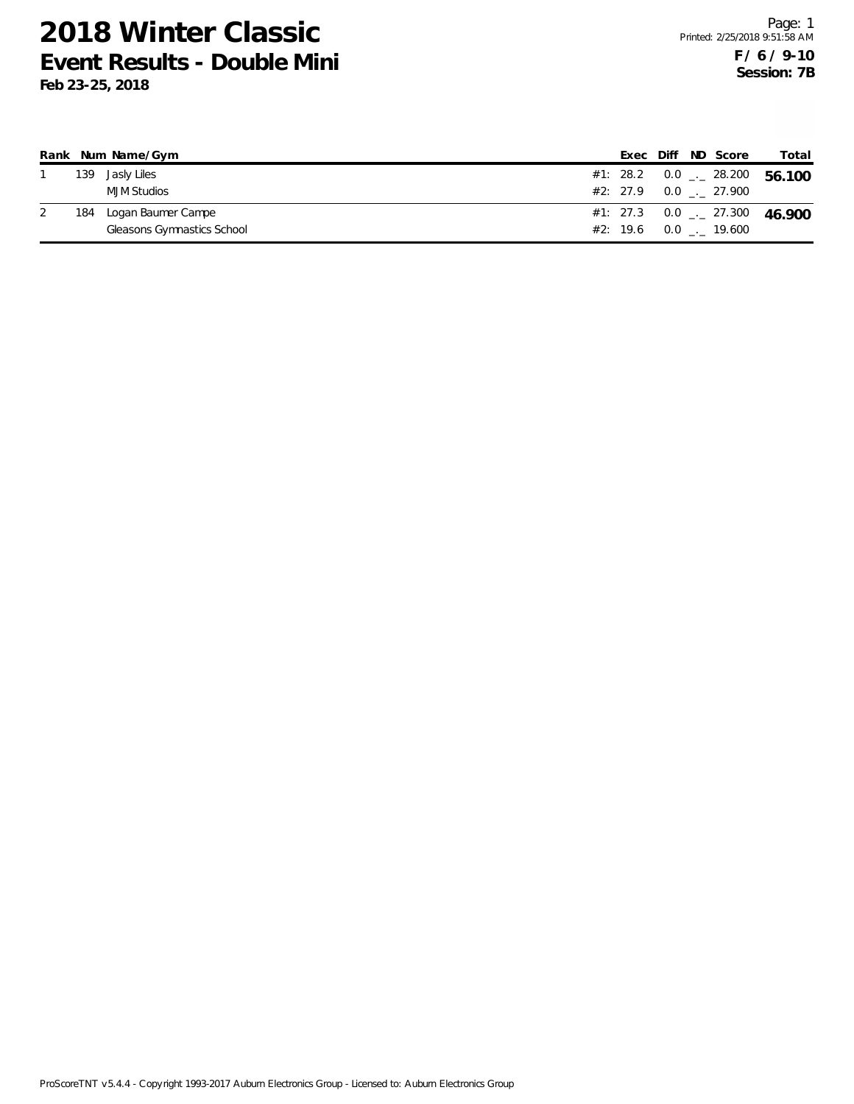|  | Rank Num Name/Gym          |  |  | Exec Diff ND Score       | Total                                      |
|--|----------------------------|--|--|--------------------------|--------------------------------------------|
|  | 139 Jasly Liles            |  |  |                          | #1: 28.2  0.0 $\frac{1}{2}$ 28.200  56.100 |
|  | MJM Studios                |  |  | #2: 27.9  0.0  .  27.900 |                                            |
|  | 184 Logan Baumer Campe     |  |  |                          | #1: 27.3 0.0 $\frac{1}{2}$ 27.300 46.900   |
|  | Gleasons Gymnastics School |  |  | #2: 19.6 0.0 19.600      |                                            |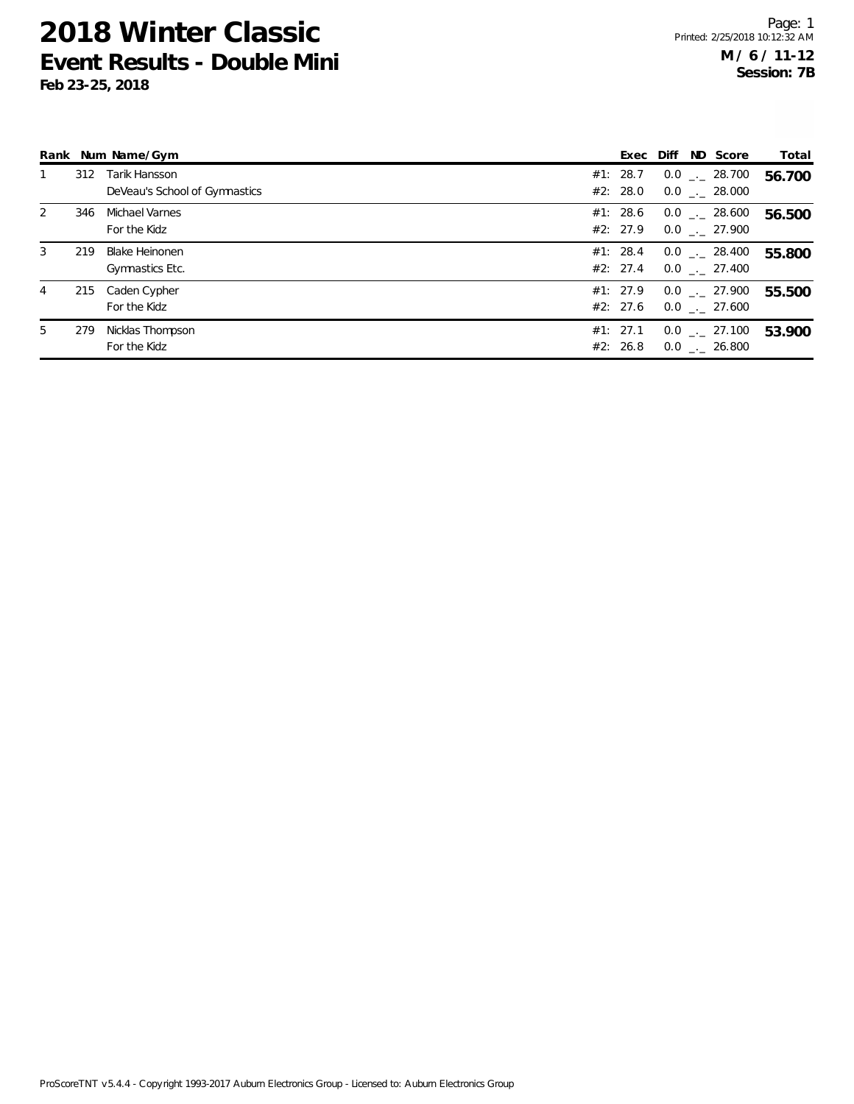|                |     | Rank Num Name/Gym                              |                      |  | Exec Diff ND Score                                | Total  |
|----------------|-----|------------------------------------------------|----------------------|--|---------------------------------------------------|--------|
|                | 312 | Tarik Hansson<br>DeVeau's School of Gymnastics | #1: 28.7<br>#2: 28.0 |  | $0.0$ _._ 28.700<br>$0.0$ _._ 28.000              | 56.700 |
| $\overline{2}$ | 346 | Michael Varnes<br>For the Kidz                 | #1: 28.6             |  | $0.0$ _._ 28.600<br>#2: 27.9 $0.0$ $_{-}$ 27.900  | 56.500 |
| 3              | 219 | Blake Heinonen<br>Gymnastics Etc.              | #1: 28.4<br>#2: 27.4 |  | $0.0$ _._ 28.400<br>$0.0$ _._ 27.400              | 55.800 |
| 4              |     | 215 Caden Cypher<br>For the Kidz               | #1: 27.9             |  | $0.0$ _._ 27.900<br>#2: 27.6 $0.0$ $_{-.}$ 27.600 | 55.500 |
| 5              | 279 | Nicklas Thompson<br>For the Kidz               | #1: 27.1<br>#2: 26.8 |  | $0.0$ _ $-$ 27.100<br>$0.0$ _. 26.800             | 53.900 |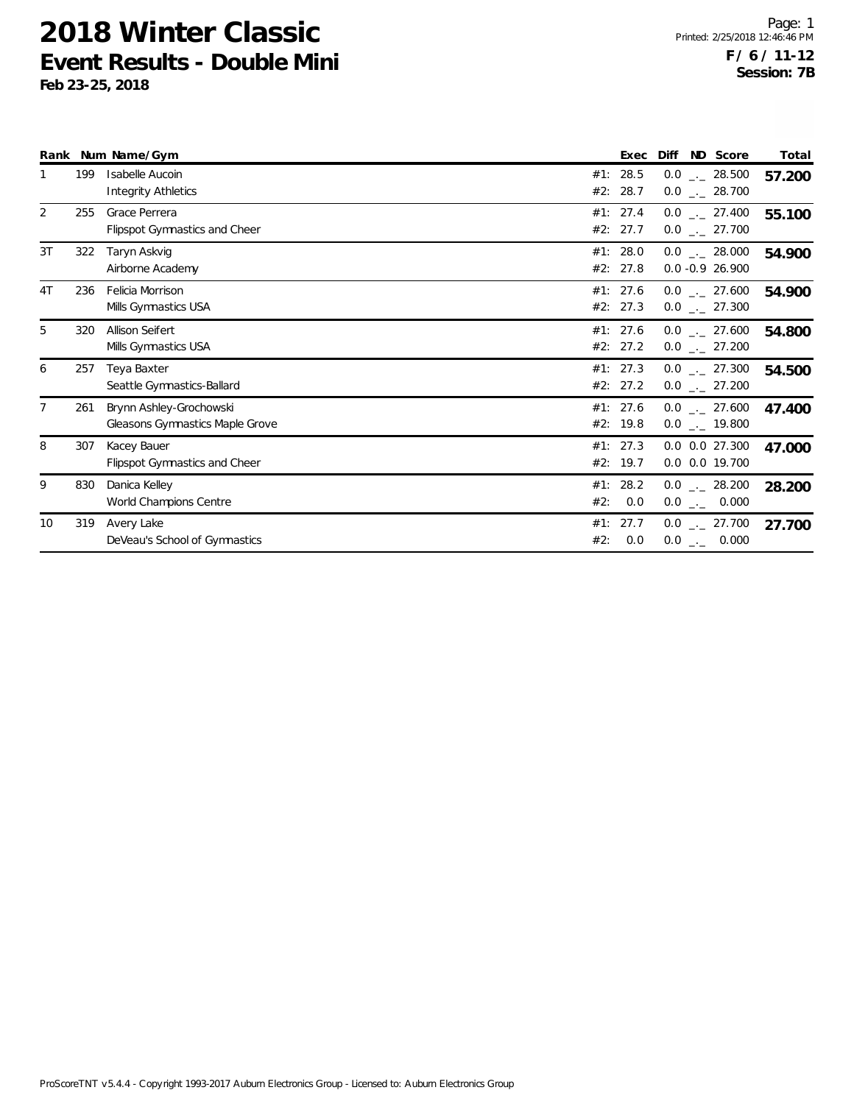|                |     | Rank Num Name/Gym                                          | Exec                       | Diff<br>ND Score                       | Total  |
|----------------|-----|------------------------------------------------------------|----------------------------|----------------------------------------|--------|
|                | 199 | Isabelle Aucoin<br>Integrity Athletics                     | #1:<br>28.5<br>#2:<br>28.7 | $0.0$ _ 28.500<br>$0.0$ _._ 28.700     | 57.200 |
| 2              | 255 | Grace Perrera<br>Flipspot Gymnastics and Cheer             | #1: 27.4<br>#2:<br>27.7    | $0.0$ _._ 27.400<br>$0.0$ _ 27.700     | 55.100 |
| 3T             | 322 | Taryn Askvig<br>Airborne Academy                           | #1: 28.0<br>#2: 27.8       | $0.0$ _._ 28.000<br>$0.0 - 0.9 26.900$ | 54.900 |
| 4T             | 236 | Felicia Morrison<br>Mills Gymnastics USA                   | #1: 27.6<br>#2: 27.3       | $0.0$ _._ 27.600<br>$0.0$ _ 27.300     | 54.900 |
| 5              | 320 | Allison Seifert<br>Mills Gymnastics USA                    | #1: 27.6<br>#2: 27.2       | $0.0$ . 27.600<br>$0.0$ _ 27.200       | 54.800 |
| 6              | 257 | Teya Baxter<br>Seattle Gymnastics-Ballard                  | #1: 27.3<br>#2: 27.2       | $0.0$ _ 27.300<br>$0.0$ . 27.200       | 54.500 |
| $\overline{7}$ | 261 | Brynn Ashley-Grochowski<br>Gleasons Gymnastics Maple Grove | #1: 27.6<br>#2: 19.8       | $0.0$ _ 27.600<br>$0.0$ _ $-$ 19.800   | 47.400 |
| 8              | 307 | Kacey Bauer<br>Flipspot Gymnastics and Cheer               | #1: 27.3<br>19.7<br>#2:    | $0.0$ $0.0$ 27.300<br>0.0 0.0 19.700   | 47.000 |
| 9              | 830 | Danica Kelley<br>World Champions Centre                    | 28.2<br>#1:<br>#2:<br>0.0  | $0.0$ _._ 28.200<br>$0.0$ _ 0.000      | 28.200 |
| 10             | 319 | Avery Lake<br>DeVeau's School of Gymnastics                | #1:<br>27.7<br>0.0<br>#2:  | $0.0$ _ 27.700<br>$0.0$ _ 0.000        | 27.700 |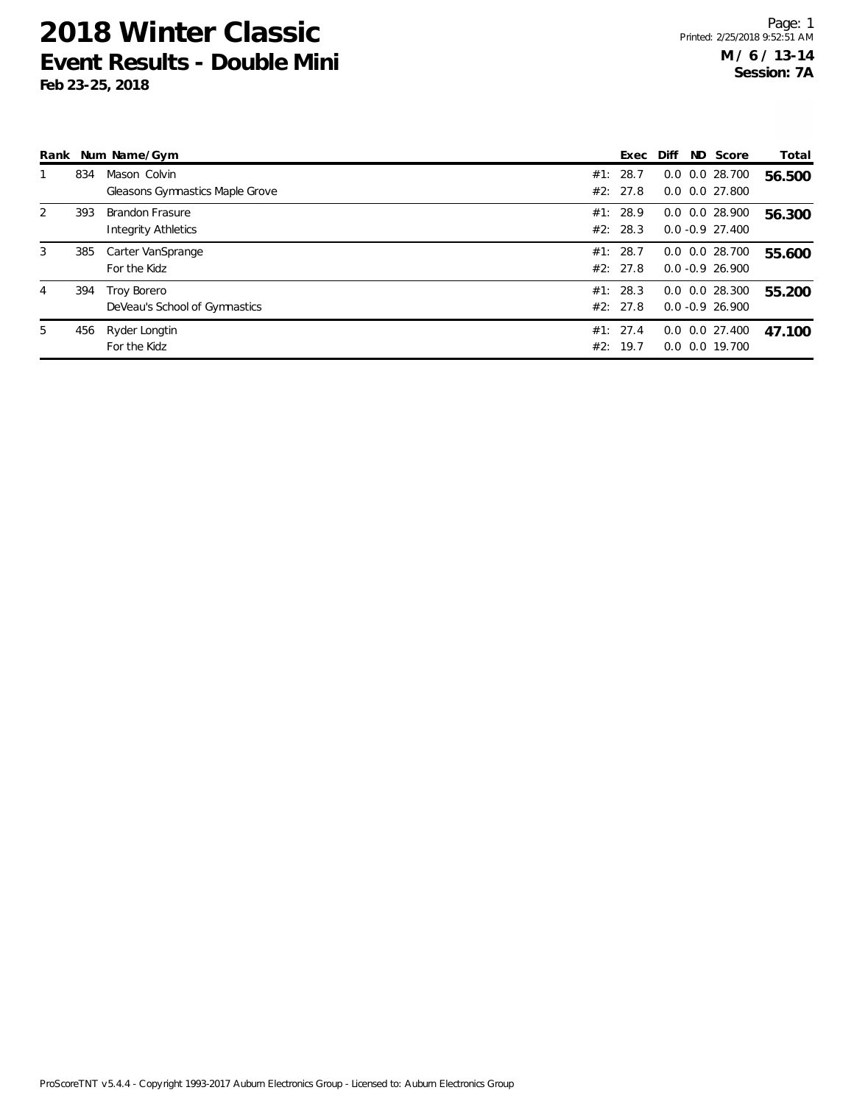| Rank |     | Num Name/Gym                           |     | Exec     | Diff | ND Score             | Total  |
|------|-----|----------------------------------------|-----|----------|------|----------------------|--------|
|      | 834 | Mason Colvin                           |     | #1: 28.7 |      | $0.0$ $0.0$ 28.700   | 56.500 |
|      |     | <b>Gleasons Gymnastics Maple Grove</b> |     | #2: 27.8 |      | $0.0$ $0.0$ 27.800   |        |
| 2    | 393 | Brandon Frasure                        |     | #1: 28.9 |      | $0.0$ $0.0$ 28.900   | 56.300 |
|      |     | <b>Integrity Athletics</b>             |     | #2: 28.3 |      | $0.0 - 0.9$ 27.400   |        |
| 3    | 385 | Carter VanSprange                      |     | #1: 28.7 |      | $0.0$ $0.0$ 28.700   | 55.600 |
|      |     | For the Kidz                           |     | #2: 27.8 |      | $0.0 - 0.9$ 26.900   |        |
| 4    | 394 | Troy Borero                            |     | #1: 28.3 |      | $0.0$ $0.0$ 28.300   | 55.200 |
|      |     | DeVeau's School of Gymnastics          |     | #2: 27.8 |      | $0.0 - 0.9$ 26.900   |        |
| 5    | 456 | Ryder Longtin                          |     | #1: 27.4 |      | $0.0$ $0.0$ $27.400$ | 47.100 |
|      |     | For the Kidz                           | #2: | 19.7     |      | $0.0$ $0.0$ 19.700   |        |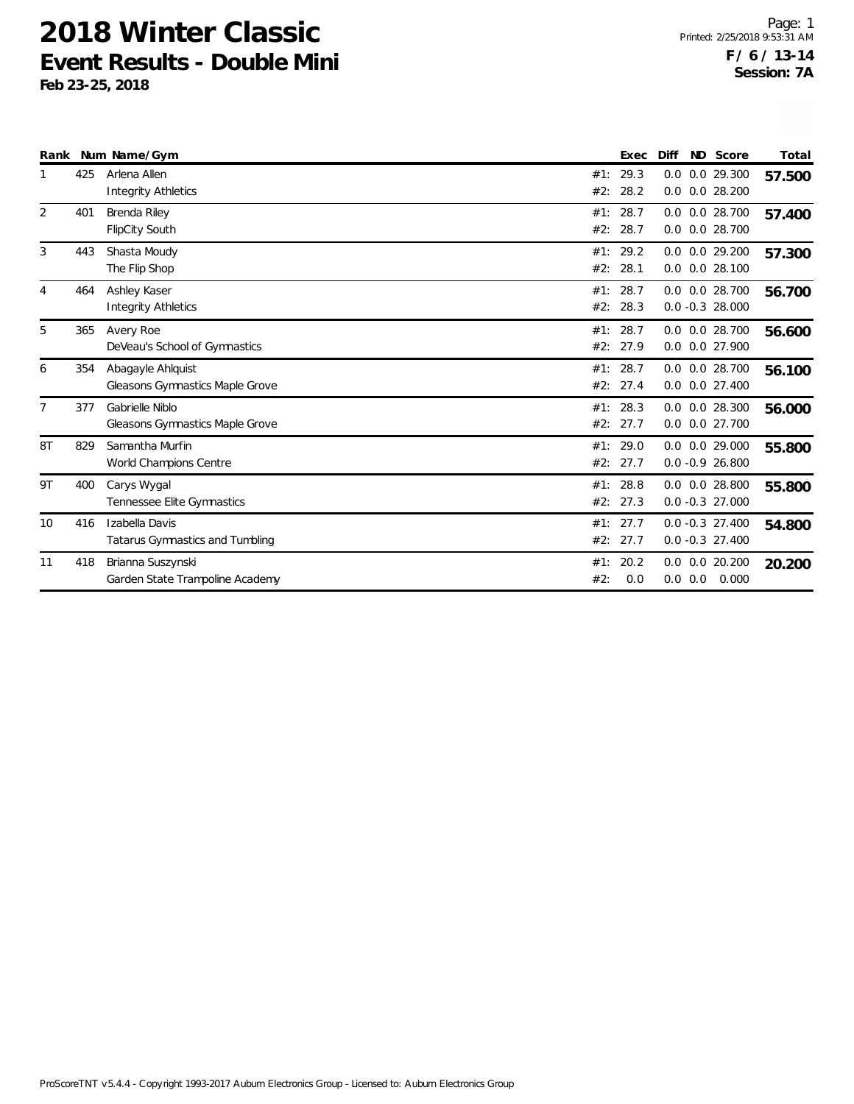|                |     | Rank Num Name/Gym                                         |            | Exec             | Diff                                       | ND Score | Total  |
|----------------|-----|-----------------------------------------------------------|------------|------------------|--------------------------------------------|----------|--------|
|                | 425 | Arlena Allen<br><b>Integrity Athletics</b>                | #2:        | #1: 29.3<br>28.2 | 0.0 0.0 29.300<br>$0.0$ $0.0$ 28.200       |          | 57.500 |
| 2              | 401 | Brenda Riley<br>FlipCity South                            | #1:<br>#2: | 28.7<br>28.7     | $0.0$ $0.0$ 28.700<br>0.0 0.0 28.700       |          | 57.400 |
| 3              | 443 | Shasta Moudy<br>The Flip Shop                             | #1:<br>#2: | 29.2<br>28.1     | $0.0$ $0.0$ $29.200$<br>$0.0$ $0.0$ 28.100 |          | 57.300 |
| 4              | 464 | Ashley Kaser<br><b>Integrity Athletics</b>                | #1:<br>#2: | 28.7<br>28.3     | $0.0$ $0.0$ 28.700<br>$0.0 - 0.3 28.000$   |          | 56.700 |
| 5              | 365 | Avery Roe<br>DeVeau's School of Gymnastics                | #1:<br>#2: | 28.7<br>27.9     | 0.0 0.0 28.700<br>0.0 0.0 27.900           |          | 56.600 |
| 6              | 354 | Abagayle Ahlquist<br>Gleasons Gymnastics Maple Grove      | #1:<br>#2: | 28.7<br>27.4     | $0.0$ $0.0$ 28.700<br>$0.0$ $0.0$ 27.400   |          | 56.100 |
| $\overline{7}$ | 377 | Gabrielle Niblo<br><b>Gleasons Gymnastics Maple Grove</b> | #1:<br>#2: | 28.3<br>27.7     | $0.0$ $0.0$ 28.300<br>0.0 0.0 27.700       |          | 56.000 |
| 8T             | 829 | Samantha Murfin<br>World Champions Centre                 | #1:<br>#2: | 29.0<br>27.7     | $0.0$ $0.0$ 29.000<br>$0.0 - 0.9 26.800$   |          | 55.800 |
| 9T             | 400 | Carys Wygal<br>Tennessee Elite Gymnastics                 | #1:<br>#2: | 28.8<br>27.3     | $0.0$ $0.0$ 28.800<br>$0.0 - 0.3$ 27.000   |          | 55.800 |
| 10             | 416 | Izabella Davis<br>Tatarus Gymnastics and Tumbling         | #1:<br>#2: | 27.7<br>27.7     | $0.0 - 0.3$ 27.400<br>$0.0 - 0.3$ 27.400   |          | 54.800 |
| 11             | 418 | Brianna Suszynski<br>Garden State Trampoline Academy      | #1:<br>#2: | 20.2<br>0.0      | $0.0$ $0.0$ 20.200<br>$0.0$ $0.0$ $0.000$  |          | 20.200 |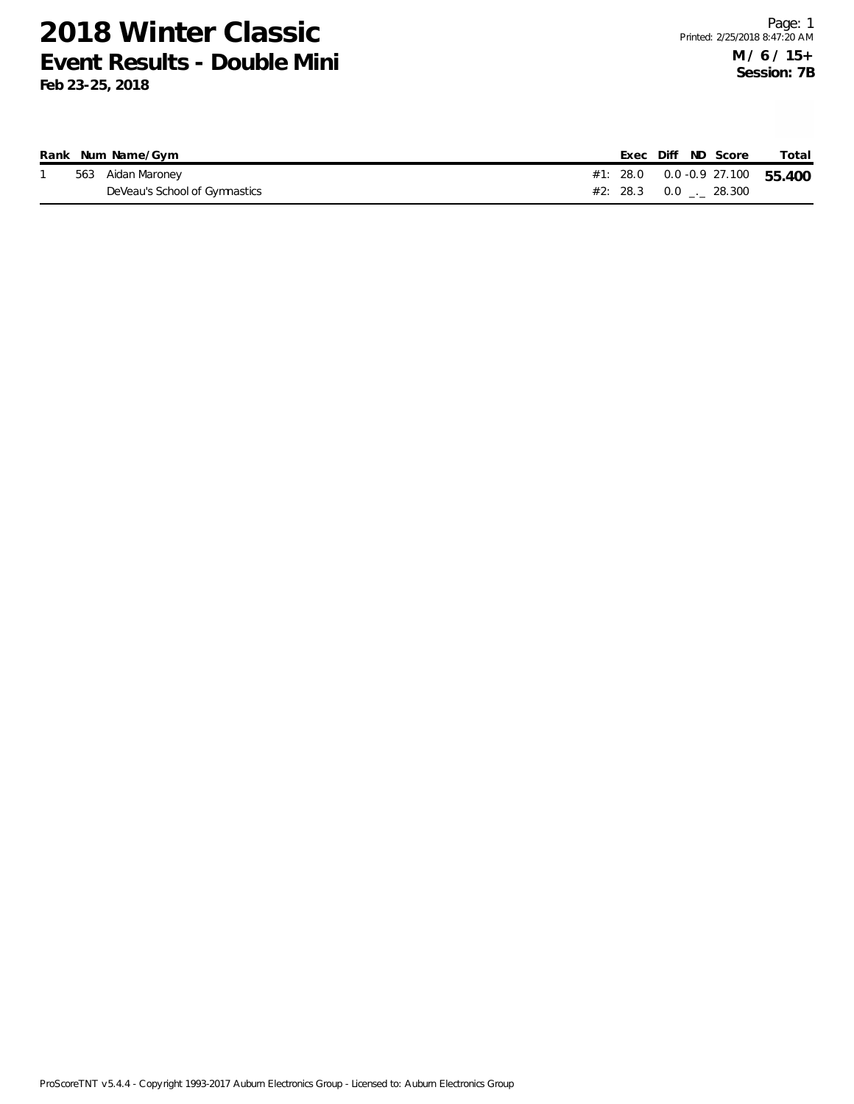|  | Rank Num Name/Gym             |  |  | Exec Diff ND Score              | Total                               |
|--|-------------------------------|--|--|---------------------------------|-------------------------------------|
|  | 563 Aidan Maroney             |  |  |                                 | #1: 28.0  0.0  -0.9  27.100  55.400 |
|  | DeVeau's School of Gymnastics |  |  | $#2: 28.3 \t 0.0 \t  \t 28.300$ |                                     |